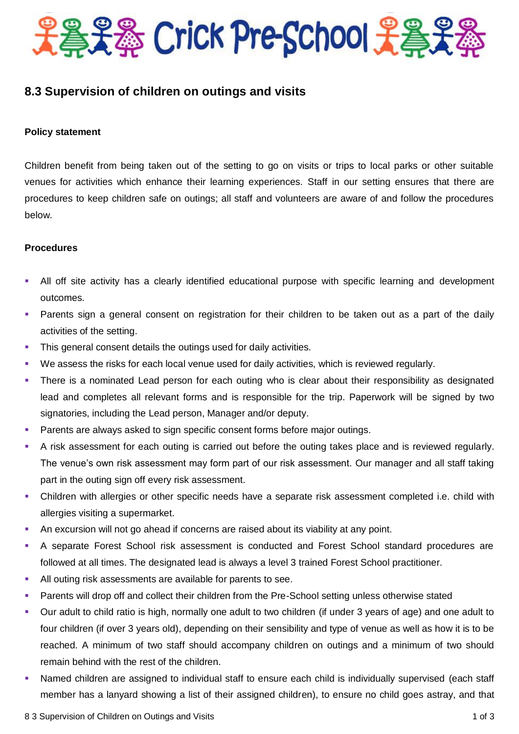

## **8.3 Supervision of children on outings and visits**

## **Policy statement**

Children benefit from being taken out of the setting to go on visits or trips to local parks or other suitable venues for activities which enhance their learning experiences. Staff in our setting ensures that there are procedures to keep children safe on outings; all staff and volunteers are aware of and follow the procedures below.

## **Procedures**

- All off site activity has a clearly identified educational purpose with specific learning and development outcomes.
- Parents sign a general consent on registration for their children to be taken out as a part of the daily activities of the setting.
- This general consent details the outings used for daily activities.
- We assess the risks for each local venue used for daily activities, which is reviewed regularly.
- There is a nominated Lead person for each outing who is clear about their responsibility as designated lead and completes all relevant forms and is responsible for the trip. Paperwork will be signed by two signatories, including the Lead person, Manager and/or deputy.
- Parents are always asked to sign specific consent forms before major outings.
- A risk assessment for each outing is carried out before the outing takes place and is reviewed regularly. The venue's own risk assessment may form part of our risk assessment. Our manager and all staff taking part in the outing sign off every risk assessment.
- Children with allergies or other specific needs have a separate risk assessment completed i.e. child with allergies visiting a supermarket.
- An excursion will not go ahead if concerns are raised about its viability at any point.
- A separate Forest School risk assessment is conducted and Forest School standard procedures are followed at all times. The designated lead is always a level 3 trained Forest School practitioner.
- All outing risk assessments are available for parents to see.
- Parents will drop off and collect their children from the Pre-School setting unless otherwise stated
- Our adult to child ratio is high, normally one adult to two children (if under 3 years of age) and one adult to four children (if over 3 years old), depending on their sensibility and type of venue as well as how it is to be reached. A minimum of two staff should accompany children on outings and a minimum of two should remain behind with the rest of the children.
- Named children are assigned to individual staff to ensure each child is individually supervised (each staff member has a lanyard showing a list of their assigned children), to ensure no child goes astray, and that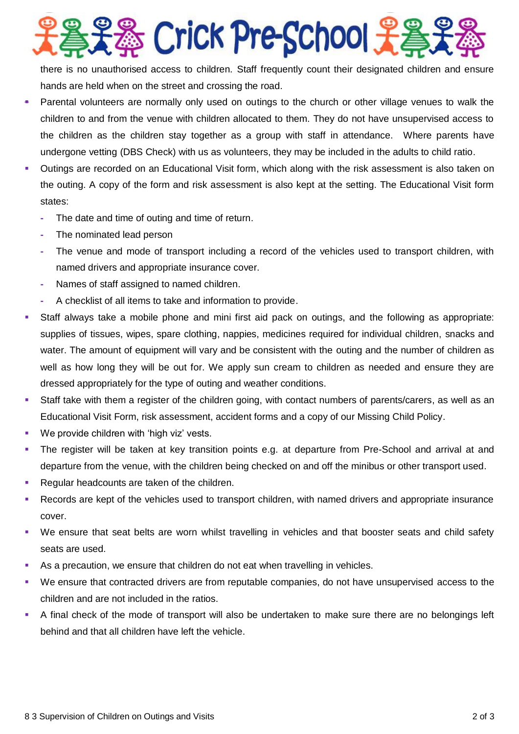※ Crick Pre-School 子名

there is no unauthorised access to children. Staff frequently count their designated children and ensure hands are held when on the street and crossing the road.

- Parental volunteers are normally only used on outings to the church or other village venues to walk the children to and from the venue with children allocated to them. They do not have unsupervised access to the children as the children stay together as a group with staff in attendance. Where parents have undergone vetting (DBS Check) with us as volunteers, they may be included in the adults to child ratio.
- Outings are recorded on an Educational Visit form, which along with the risk assessment is also taken on the outing. A copy of the form and risk assessment is also kept at the setting. The Educational Visit form states:
	- **-** The date and time of outing and time of return.
	- **-** The nominated lead person
	- **-** The venue and mode of transport including a record of the vehicles used to transport children, with named drivers and appropriate insurance cover.
	- **-** Names of staff assigned to named children.
	- **-** A checklist of all items to take and information to provide.
- Staff always take a mobile phone and mini first aid pack on outings, and the following as appropriate: supplies of tissues, wipes, spare clothing, nappies, medicines required for individual children, snacks and water. The amount of equipment will vary and be consistent with the outing and the number of children as well as how long they will be out for. We apply sun cream to children as needed and ensure they are dressed appropriately for the type of outing and weather conditions.
- Staff take with them a register of the children going, with contact numbers of parents/carers, as well as an Educational Visit Form, risk assessment, accident forms and a copy of our Missing Child Policy.
- We provide children with 'high viz' vests.
- The register will be taken at key transition points e.g. at departure from Pre-School and arrival at and departure from the venue, with the children being checked on and off the minibus or other transport used.
- Regular headcounts are taken of the children.
- Records are kept of the vehicles used to transport children, with named drivers and appropriate insurance cover.
- We ensure that seat belts are worn whilst travelling in vehicles and that booster seats and child safety seats are used.
- As a precaution, we ensure that children do not eat when travelling in vehicles.
- We ensure that contracted drivers are from reputable companies, do not have unsupervised access to the children and are not included in the ratios.
- A final check of the mode of transport will also be undertaken to make sure there are no belongings left behind and that all children have left the vehicle.